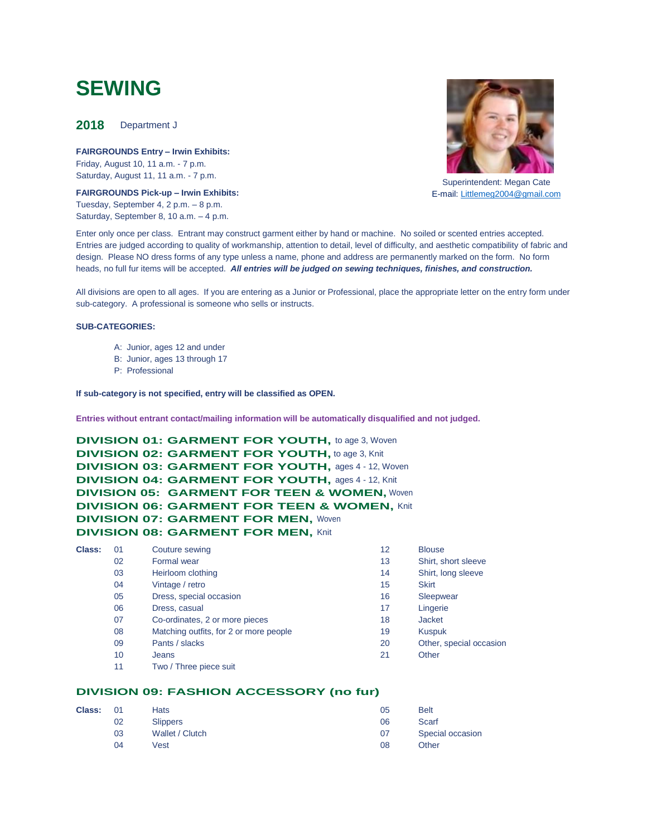# **SEWING**

 **2018** Department J

**FAIRGROUNDS Entry – Irwin Exhibits:**  Friday, August 10, 11 a.m. - 7 p.m. Saturday, August 11, 11 a.m. - 7 p.m.

**FAIRGROUNDS Pick-up – Irwin Exhibits:** Tuesday, September 4, 2 p.m. – 8 p.m. Saturday, September 8, 10 a.m. – 4 p.m.



Superintendent: Megan Cate E-mail: [Littlemeg2004@gmail.com](mailto:Littlemeg2004@gmail.com)

Enter only once per class. Entrant may construct garment either by hand or machine. No soiled or scented entries accepted. Entries are judged according to quality of workmanship, attention to detail, level of difficulty, and aesthetic compatibility of fabric and design. Please NO dress forms of any type unless a name, phone and address are permanently marked on the form. No form heads, no full fur items will be accepted. *All entries will be judged on sewing techniques, finishes, and construction.*

All divisions are open to all ages. If you are entering as a Junior or Professional, place the appropriate letter on the entry form under sub-category. A professional is someone who sells or instructs.

#### **SUB-CATEGORIES:**

- A: Junior, ages 12 and under
- B: Junior, ages 13 through 17
- P: Professional

#### **If sub-category is not specified, entry will be classified as OPEN.**

**Entries without entrant contact/mailing information will be automatically disqualified and not judged.**

**DIVISION 01: GARMENT FOR YOUTH,** to age 3, Woven **DIVISION 02: GARMENT FOR YOUTH, to age 3, Knit DIVISION 03: GARMENT FOR YOUTH,** ages 4 - 12, Woven **DIVISION 04: GARMENT FOR YOUTH,** ages 4 - 12, Knit **DIVISION 05: GARMENT FOR TEEN & WOMEN,** Woven **DIVISION 06: GARMENT FOR TEEN & WOMEN, Knit DIVISION 07: GARMENT FOR MEN, Woven DIVISION 08: GARMENT FOR MEN, Knit** 

| Class: | 01 | Couture sewing                         | 12 | <b>Blouse</b>           |
|--------|----|----------------------------------------|----|-------------------------|
|        | 02 | Formal wear                            | 13 | Shirt, short sleeve     |
|        | 03 | Heirloom clothing                      | 14 | Shirt, long sleeve      |
|        | 04 | Vintage / retro                        | 15 | <b>Skirt</b>            |
|        | 05 | Dress, special occasion                | 16 | Sleepwear               |
|        | 06 | Dress, casual                          | 17 | Lingerie                |
|        | 07 | Co-ordinates, 2 or more pieces         | 18 | <b>Jacket</b>           |
|        | 08 | Matching outfits, for 2 or more people | 19 | <b>Kuspuk</b>           |
|        | 09 | Pants / slacks                         | 20 | Other, special occasion |
|        | 10 | Jeans                                  | 21 | Other                   |
|        | 11 | Two / Three piece suit                 |    |                         |

# **DIVISION 09: FASHION ACCESSORY (no fur)**

| <b>Class:</b> | $_{01}$ | <b>Hats</b>     | 05 | <b>Belt</b>      |
|---------------|---------|-----------------|----|------------------|
|               | 02      | <b>Slippers</b> | 06 | Scarf            |
|               | 03      | Wallet / Clutch | 07 | Special occasion |
|               | 04      | Vest            | 08 | Other            |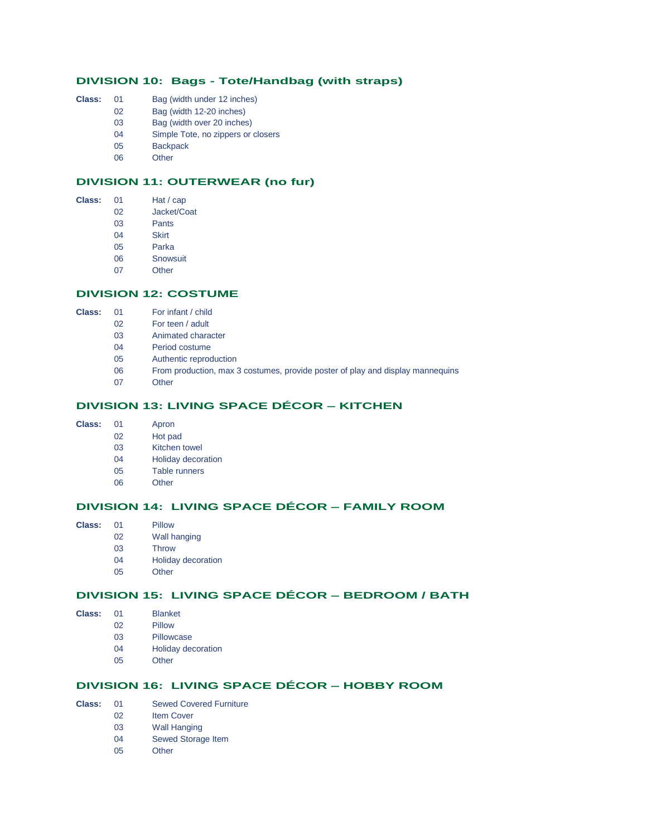# **DIVISION 10: Bags - Tote/Handbag (with straps)**

- **Class:** 01 Bag (width under 12 inches)
	- 02 Bag (width 12-20 inches)
	- 03 Bag (width over 20 inches)
	- 04 Simple Tote, no zippers or closers
	- 05 Backpack
	- 06 Other

# **DIVISION 11: OUTERWEAR (no fur)**

| Class: | 01 | Hat / cap |
|--------|----|-----------|
|        |    |           |

- 02 Jacket/Coat
- 03 Pants
- 04 Skirt
- 05 Parka 06 Snowsuit
- 
- 07 Other

# **DIVISION 12: COSTUME**

- **Class:** 01 For infant / child
	- 02 For teen / adult
	- 03 Animated character
	- 04 Period costume
	- 05 Authentic reproduction
	- 06 From production, max 3 costumes, provide poster of play and display mannequins
	- 07 Other

# **DIVISION 13: LIVING SPACE DÉCOR – KITCHEN**

- **Class:** 01 Apron
	- 02 Hot pad
	- 03 Kitchen towel
	- 04 Holiday decoration
	- 05 Table runners
	- 06 Other

# **DIVISION 14: LIVING SPACE DÉCOR – FAMILY ROOM**

- **Class:** 01 Pillow
	- 02 Wall hanging
	- 03 Throw
		- 04 Holiday decoration
		- 05 Other

# **DIVISION 15: LIVING SPACE DÉCOR – BEDROOM / BATH**

|  | Class: | 01 | <b>Blanket</b> |
|--|--------|----|----------------|
|--|--------|----|----------------|

- 02 Pillow
- 03 Pillowcase
- 04 Holiday decoration
- 05 Other

# **DIVISION 16: LIVING SPACE DÉCOR – HOBBY ROOM**

- **Class:** 01 Sewed Covered Furniture
	- 02 Item Cover
	- 03 Wall Hanging
		- 04 Sewed Storage Item
		- 05 Other